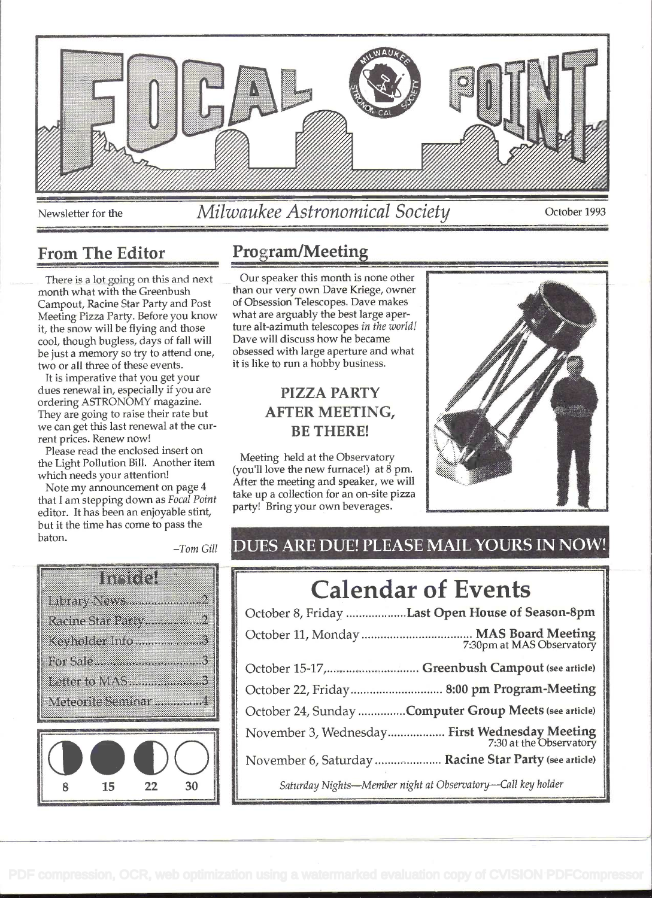

### Newsletter for the *Milwaukee Astronomical Society* October 1993

### From The Editor

There is a lot going on this and next month what with the Greenbush Campout, Racine Star Party and Post Meeting Pizza Party. Before you know it, the snow will be flying and those cool, though bugless, days of fall will be just a memory so try to attend one, two or all three of these events.

It is imperative that you get your dues renewal in, especially if you are ordering ASTRONOMY magazine. They are going to raise their rate but we can get this last renewal at the current prices. Renew now!

Please read the enclosed insert on the Light Pollution Bill. Another item which needs your attention!

Note my announcement on page 4 that I am stepping down as Focal Point editor. It has been an enjoyable stint, but it the time has come to pass the baton.

## Program/Meeting

Our speaker this month is none other than our very own Dave Kriege, owner of Obsession Telescopes. Dave makes what are arguably the best large aperture alt-azimuth telescopes in the world! Dave will discuss how he became obsessed with large aperture and what it is like to run a hobby business.

### PIZZA PARTY AFTER MEETING, BE THERE!

Meeting held at the Observatory (you'll love the new furnace!) at  $8 \text{ pm}$ . After the meeting and speaker, we will take up a collection for an on-site pizza party! Bring your own beverages.



### -Tom Gill DUES ARE DUE! PLEASE MAIL YOURS IN NOW!

# Calendar of Events

|                          | October 8, Friday Last Open House of Season-8pm                       |
|--------------------------|-----------------------------------------------------------------------|
| Keyholder Info           |                                                                       |
| mante de la comunicación | October 15-17,  Greenbush Campout (see article)                       |
|                          |                                                                       |
|                          | October 24, Sunday Computer Group Meets (see article)                 |
|                          | November 3, Wednesday First Wednesday Meeting 7:30 at the Observatory |
|                          | November 6, Saturday  Racine Star Party (see article)                 |
| 30<br>15                 | Saturday Nights-Member night at Observatory-Call key holder           |

## III R Renne Stadtarten und Ta romate and an annual contract of leto to visit and a state of Mateorite Scininar ................

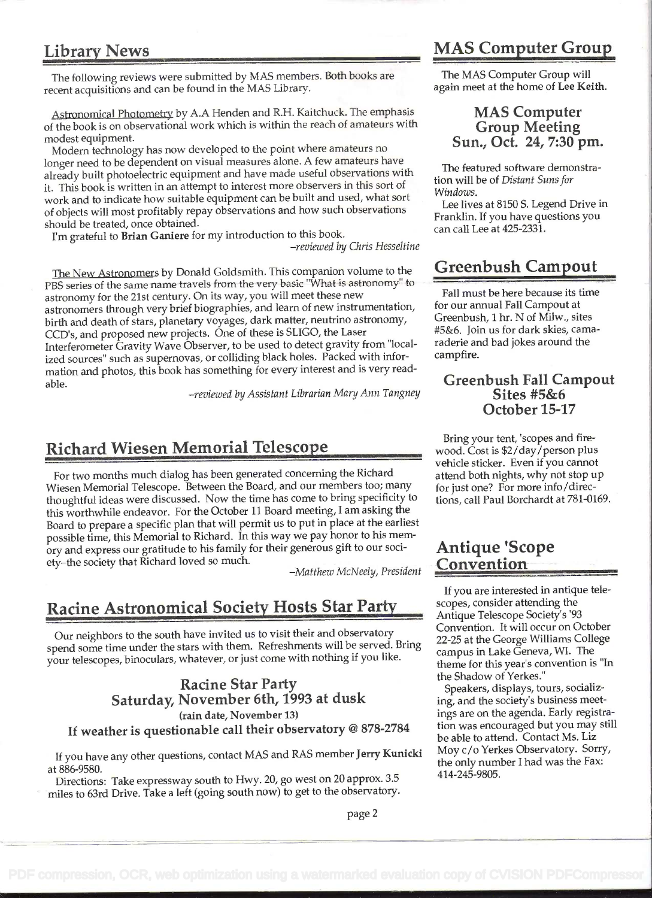The following reviews were submitted by MAS members. Both books are The MAS Computer Group will<br>ecent acquisitions and can be found in the MAS Library. again meet at the home of Lee Keith. recent acquisitions and can be found in the MAS Library.

Astronomical Photometry by A.A Henden and R.H. Kaitchuck. The emphasis **MAS Computer**<br> **A** He book is on observational work which is within the reach of amateurs with **Group Meeting** of the book is on observational work which is within the reach of amateurs with Group Meeting modest equipment.<br>
Sun., Oct. 24, 7:30 pm.

Modern technology has now developed to the point where amateurs no longer need to be dependent on visual measures alone. A few amateurs have Insper need to be dependent on visual measures alone. A lew amateurs have<br>already built photoelectric equipment and have made useful observations with the featured software demonstra-<br>tion will be of Distant Suns for it. This book is written in an attempt to interest more observers in this sort of  $\frac{1001 \text{ WIII}}{1000 \text{ WII}}$ work and to indicate how suitable equipment can be built and used, what sort Lee lives at 8150 S. Legend Drive in work and to indicate now suitable equipment can be buin and used, what sore lives at 8150 S. Legend Drive in<br>of objects will most profitably repay observations and how such observations Franklin If you have questions you of objects will most profitably repay observations and now such observations<br>should be treated, once obtained. Should be treated, once obtained.<br>I'm grateful to **Brian Ganiere** for my introduction to this book. can call Lee at 425-2331.

-reviewed by Chris Hesseltine

The New Astronomers by Donald Goldsmith. This companion volume to the **Greenbush Campout** PBS series of the same name travels from the very basic "What is astronomy" to astronomy for the 21st century. On its way, you will meet these new astronomers through very brief biographies, and learn of new instrumentation, birth and death of stars, planetary voyages, dark matter, neutrino astronomy, CCD's, and proposed new projects. One of these is SLIGO, the Laser Interferometer Gravity Wave Observer, to be used to detect gravity from "localized sources" such as supernovas, or colliding black holes. Packed with information and photos, this book has something for every interest and is very readable.

-reviewed by Assistant Librarian Mary Ann Tangney

### Richard Wiesen Memorial Telescope

For two months much dialog has been generated concerning the Richard Wiesen Memorial Telescope. Between the Board, and our members too; many for just one? For more info/direc-<br>thoughtful ideas were discussed. Now the time has come to bring specificity to tions, call Paul Borchardt at 781-01 thoughtful ideas were discussed. Now the time has come to bring specificity to this worthwhile endeavor. For the October 11 Board meeting, I am asking the Board to prepare a specific plan that will permit us to put in place at the earliest possible time, this Memorial to Richard. In this way we pay honor to his memory and express our gratitude to his family for their generous gift to our soci-**Antique 'Scope** ety-the society that Richard loved so much.<br>
-Matthew McNeely, President **Convention** 

### Racine Astronomical Society Hosts Star Party scopes, consider attending the

Our neighbors to the south have invited us to visit their and observatory Convention. It will occur on October spend some time under the stars with them. Refreshments will be served. Bring  $\frac{22-25}{2}$  at the George Williams College 1 your telescopes, binoculars, whatever, or just come with nothing if you like.

## Racine Star Party Speakers, displays, tours, socializ-Saturday, November 6th, 1993 at dusk (rain date, November 13) If weather is questionable call their observatory @ 878-2784

If you have any other questions, contact MAS and RAS member Jerry Kunicki Moy c/o Yerkes Observatory. Sorry, I<br>the only number I had was the Fax: If you have any other questions, contact MAD and To to member  $f$  error the only number I had was the Fax:<br>at 886-9580.

at 886-9580.<br>Directions: Take expressway south to Hwy. 20, go west on 20 approx. 3.5 414-245-9805. miles to 63rd Drive. Take a left (going south now) to get to the observatory.

### Library News MAS Computer Group

Fall must be here because its time for our annual Fall Campout at Greenbush, i hr. N of Milw., sites #5&6. Join us for dark skies, camaraderie and bad jokes around the campfire.

### Greenbush Fall Campout Sites #5&6 October 15-17

Bring your tent, 'scopes and fire-<br>wood. Cost is \$2/day/person plus vehicle sticker. Even if you cannot attend both nights, why not stop up

If you are interested in antique tele-Antique Telescope Society's '93 theme for this year's convention is "In the Shadow of Yerkes."

ing. and the society's business meet ings are on the agenda. Early registra-<br>tion was encouraged but you may still be able to attend. Contact Ms. Liz Moy c/o Yerkes Observatory. Sorry,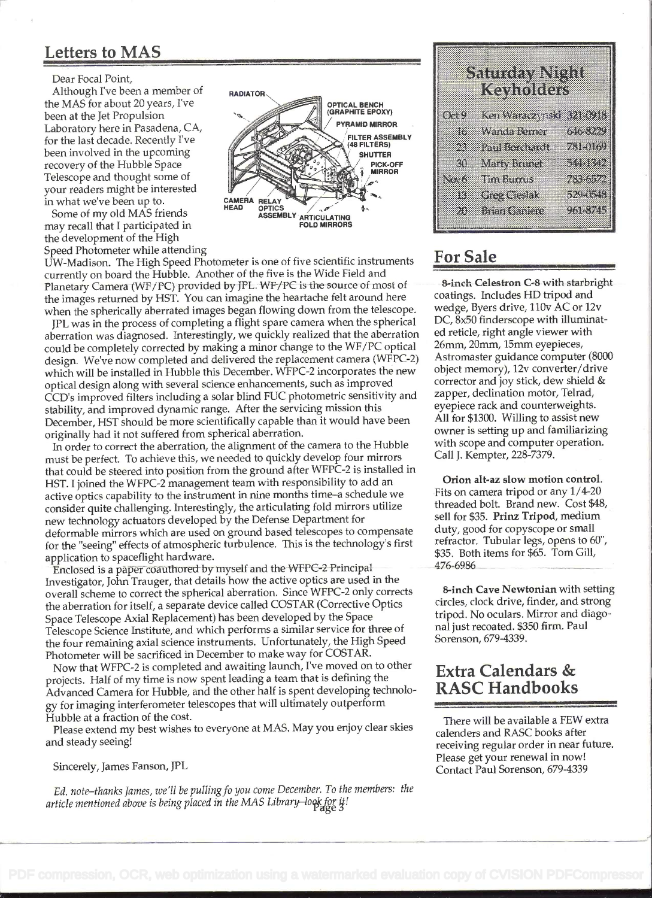### Letters to MAS

### Dear Focal Point,

Although I've been a member of RADIATOR Telescope and thought some of your readers might be interested<br>in what we've been up to. CAMERA in what we've been up to. CAMERA RELAY

Some of my old MAS friends<br>hav recall that I participated in **EXALGLUMERS** may recall that I participated in the development of the High Speed Photometer while attending



UW-Madison. The High Speed Photometer is one of five scientific instruments currently on board the Hubble. Another of the five is the Wide Field and Planetary Camera (WF/PC) provided by JPL. WF/PC is the source of most of the images returned by HST. You can imagine the heartache felt around here when the spherically aberrated images began flowing down from the telescope.

JPL was in the process of completing a flight spare camera when the spherical aberration was diagnosed. Interestingly, we quickly realized that the aberration could be completely corrected by making a minor change to the WF/PC optical design. We've now completed and delivered the replacement camera (WFPC-2) which will be installed in Hubble this December. WFPC-2 incorporates the new optical design along with several science enhancements, such as improved CCD's improved filters including a solar blind FUC photometric sensitivity and stability, and improved dynamic range. After the servicing mission this December, HST should be more scientifically capable than it would have been originally had it not suffered from spherical aberration.

In order to correct the aberration, the alignment of the camera to the Hubble must be perfect. To achieve this, we needed to quickly develop four mirrors that could be steered into position from the ground after WFPC-2 is installed in HST. I joined the WFPC-2 management team with responsibility to add an active optics capability to the instrument in nine months time-a schedule we consider quite challenging. Interestingly, the articulating fold mirrors utilize new technology actuators developed by the Defense Department for deformable mirrors which are used on ground based telescopes to compensate for the "seeing" effects of atmospheric turbulence. This is the technology's first application to spaceflight hardware.

Enclosed is a papercöauthored by myself and the WFPC-2 Principal Investigator, John Trauger, that details how the active optics are used in the overall scheme to correct the spherical aberration. Since WFPC-2 only corrects the aberration for itself, a separate device called COSTAR (Corrective Optics Space Telescope Axial Replacement) has been developed by the Space Telescope Science Institute, and which performs a similar service for three of the four remaining axial science instruments. Unfortunately, the High Speed Photometer will be sacrificed in December to make way for COSTAR.

Now that WFPC-2 is completed and awaiting launch, I've moved on to other projects. Half of my time is now spent leading a team that is defining the Advanced Camera for Hubble, and the other half is spent developing technology for imaging interferometer telescopes that will ultimately outperform Hubble at a fraction of the cost.

Please extend my best wishes to everyone at MAS. May you enjoy clear skies and steady seeing!

### Sincerely, James Fanson, JPL

Ed. note-thanks James, we'll be pulling fo you come December. To the members: the article mentioned above is being placed in the MAS Library-look for if!

|     | Samoay Night<br>  Keyholders |                                                                                                                                                                                                                                |
|-----|------------------------------|--------------------------------------------------------------------------------------------------------------------------------------------------------------------------------------------------------------------------------|
|     |                              |                                                                                                                                                                                                                                |
| 038 | <b>Kanada ay noong</b>       | o e con                                                                                                                                                                                                                        |
| Ŧ   | Wanderschlo                  | aan din                                                                                                                                                                                                                        |
| Ż.  | <u>u ka</u>                  | 432969                                                                                                                                                                                                                         |
| CO. | Net <u>ry Ser</u> ber        | 333                                                                                                                                                                                                                            |
| XX  | <u> Millianus</u>            | 2000 - 2000 - 2000 - 2000 - 2000 - 2000 - 2000 - 2000 - 2000 - 2000 - 2000 - 2000 - 2000 - 2000 - 2000 - 2000<br>2000 - 2000 - 2000 - 2000 - 2000 - 2000 - 2000 - 2000 - 2000 - 2000 - 2000 - 2000 - 2000 - 2000 - 2000 - 2000 |
| 383 | eratum                       | 32. V                                                                                                                                                                                                                          |
| 20  | <b>Billian Contact</b>       | 88. X                                                                                                                                                                                                                          |
|     |                              |                                                                                                                                                                                                                                |

### For Sale

8-inch Celestron C-8 with starbright coatings. Includes HD tripod and wedge, Byers drive, 110v AC or 12v DC, 8x50 finderscope with illuminated reticle, right angle viewer with 26mm, 20mm, 15mm eyepieces, Astromaster guidance computer (8000 object memory), 12v converter/drive corrector and joy stick, dew shield & zapper, declination motor, Telrad, eyepiece rack and counterweights. All for \$1300. Willing to assist new owner is setting up and familiarizing with scope and computer operation. Call J. Kempter, 228-7379.

Orion alt-az slow motion control. Fits on camera tripod or any  $1/4-20$ threaded bolt. Brand new. Cost \$48, sell for \$35. Prinz Tripod, medium duty, good for copyscope or small refractor. Tubular legs, opens to 60', \$35. Both items for \$65. Tom Gill, 476-6986

8-inch Cave Newtonian with setting circles, clock drive, finder, and strong tripod. No oculars. Mirror and diagonal just recoated. \$350 firm. Paul Sorenson, 679-4339.

### Extra Calendars & RASC Handbooks

There will be available a FEW extra calenders and RASC books after receiving regular order in near future. Please get your renewal in now! Contact Paul Sorenson, 679-4339